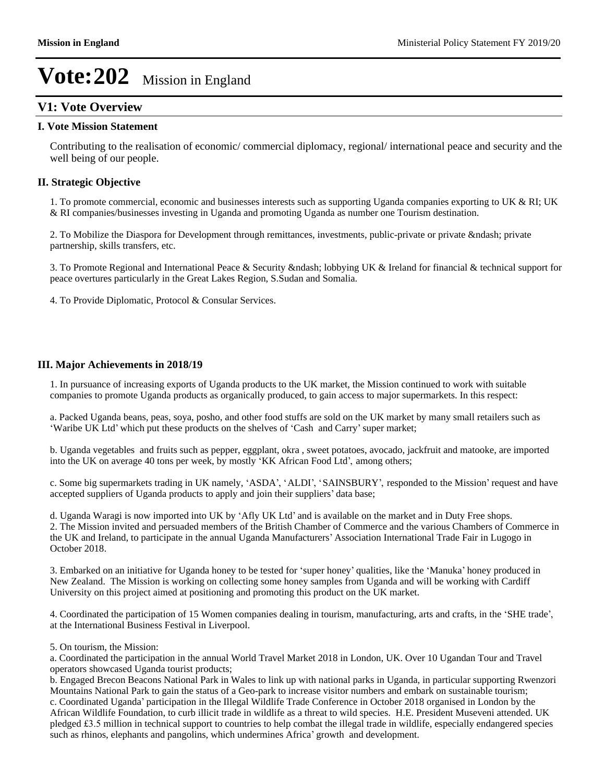### **V1: Vote Overview**

#### **I. Vote Mission Statement**

Contributing to the realisation of economic/ commercial diplomacy, regional/ international peace and security and the well being of our people.

#### **II. Strategic Objective**

1. To promote commercial, economic and businesses interests such as supporting Uganda companies exporting to UK & RI; UK & RI companies/businesses investing in Uganda and promoting Uganda as number one Tourism destination.

2. To Mobilize the Diaspora for Development through remittances, investments, public-private or private – private partnership, skills transfers, etc.

3. To Promote Regional and International Peace & Security & ndash; lobbying UK & Ireland for financial & technical support for peace overtures particularly in the Great Lakes Region, S.Sudan and Somalia.

4. To Provide Diplomatic, Protocol & Consular Services.

#### **III. Major Achievements in 2018/19**

1. In pursuance of increasing exports of Uganda products to the UK market, the Mission continued to work with suitable companies to promote Uganda products as organically produced, to gain access to major supermarkets. In this respect:

a. Packed Uganda beans, peas, soya, posho, and other food stuffs are sold on the UK market by many small retailers such as 'Waribe UK Ltd' which put these products on the shelves of 'Cash and Carry' super market;

b. Uganda vegetables and fruits such as pepper, eggplant, okra , sweet potatoes, avocado, jackfruit and matooke, are imported into the UK on average 40 tons per week, by mostly  $KK$  African Food Ltd', among others;

c. Some big supermarkets trading in UK namely, 'ASDA', 'ALDI', 'SAINSBURY', responded to the Mission' request and have accepted suppliers of Uganda products to apply and join their suppliers' data base;

d. Uganda Waragi is now imported into UK by 'Afly UK Ltd' and is available on the market and in Duty Free shops. 2. The Mission invited and persuaded members of the British Chamber of Commerce and the various Chambers of Commerce in the UK and Ireland, to participate in the annual Uganda Manufacturers' Association International Trade Fair in Lugogo in October 2018.

3. Embarked on an initiative for Uganda honey to be tested for 'super honey' qualities, like the 'Manuka' honey produced in New Zealand. The Mission is working on collecting some honey samples from Uganda and will be working with Cardiff University on this project aimed at positioning and promoting this product on the UK market.

4. Coordinated the participation of 15 Women companies dealing in tourism, manufacturing, arts and crafts, in the 'SHE trade', at the International Business Festival in Liverpool.

5. On tourism, the Mission:

a. Coordinated the participation in the annual World Travel Market 2018 in London, UK. Over 10 Ugandan Tour and Travel operators showcased Uganda tourist products;

b. Engaged Brecon Beacons National Park in Wales to link up with national parks in Uganda, in particular supporting Rwenzori Mountains National Park to gain the status of a Geo-park to increase visitor numbers and embark on sustainable tourism; c. Coordinated Uganda' participation in the Illegal Wildlife Trade Conference in October 2018 organised in London by the African Wildlife Foundation, to curb illicit trade in wildlife as a threat to wild species. H.E. President Museveni attended. UK pledged £3.5 million in technical support to countries to help combat the illegal trade in wildlife, especially endangered species such as rhinos, elephants and pangolins, which undermines Africa' growth and development.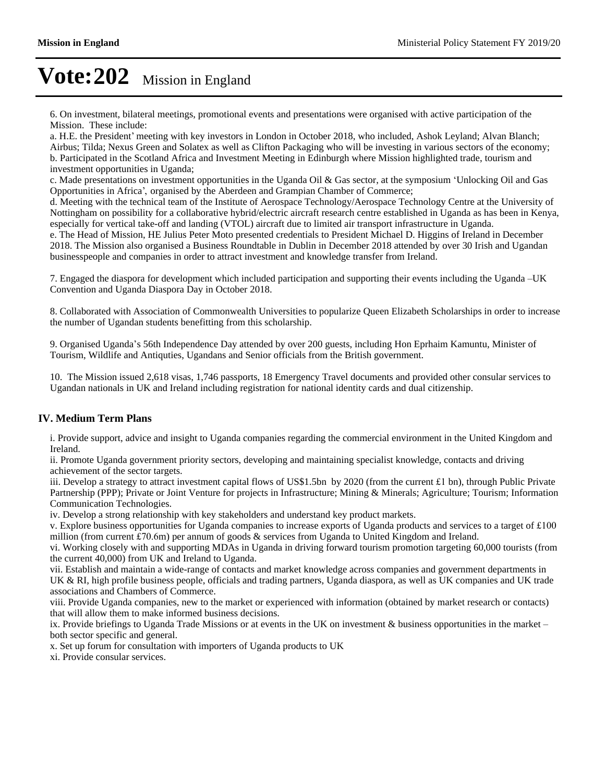6. On investment, bilateral meetings, promotional events and presentations were organised with active participation of the Mission. These include:

a. H.E. the President' meeting with key investors in London in October 2018, who included, Ashok Leyland; Alvan Blanch; Airbus; Tilda; Nexus Green and Solatex as well as Clifton Packaging who will be investing in various sectors of the economy; b. Participated in the Scotland Africa and Investment Meeting in Edinburgh where Mission highlighted trade, tourism and investment opportunities in Uganda;

c. Made presentations on investment opportunities in the Uganda Oil & Gas sector, at the symposium 'Unlocking Oil and Gas Opportunities in Africa', organised by the Aberdeen and Grampian Chamber of Commerce;

d. Meeting with the technical team of the Institute of Aerospace Technology/Aerospace Technology Centre at the University of Nottingham on possibility for a collaborative hybrid/electric aircraft research centre established in Uganda as has been in Kenya, especially for vertical take-off and landing (VTOL) aircraft due to limited air transport infrastructure in Uganda.

e. The Head of Mission, HE Julius Peter Moto presented credentials to President Michael D. Higgins of Ireland in December 2018. The Mission also organised a Business Roundtable in Dublin in December 2018 attended by over 30 Irish and Ugandan businesspeople and companies in order to attract investment and knowledge transfer from Ireland.

7. Engaged the diaspora for development which included participation and supporting their events including the Uganda –UK Convention and Uganda Diaspora Day in October 2018.

8. Collaborated with Association of Commonwealth Universities to popularize Queen Elizabeth Scholarships in order to increase the number of Ugandan students benefitting from this scholarship.

9. Organised Uganda's 56th Independence Day attended by over 200 guests, including Hon Eprhaim Kamuntu, Minister of Tourism, Wildlife and Antiquties, Ugandans and Senior officials from the British government.

10. The Mission issued 2,618 visas, 1,746 passports, 18 Emergency Travel documents and provided other consular services to Ugandan nationals in UK and Ireland including registration for national identity cards and dual citizenship.

#### **IV. Medium Term Plans**

i. Provide support, advice and insight to Uganda companies regarding the commercial environment in the United Kingdom and Ireland.

ii. Promote Uganda government priority sectors, developing and maintaining specialist knowledge, contacts and driving achievement of the sector targets.

iii. Develop a strategy to attract investment capital flows of US\$1.5bn by 2020 (from the current  $\pm 1$  bn), through Public Private Partnership (PPP); Private or Joint Venture for projects in Infrastructure; Mining & Minerals; Agriculture; Tourism; Information Communication Technologies.

iv. Develop a strong relationship with key stakeholders and understand key product markets.

v. Explore business opportunities for Uganda companies to increase exports of Uganda products and services to a target of million (from current £70.6m) per annum of goods  $\&$  services from Uganda to United Kingdom and Ireland.

vi. Working closely with and supporting MDAs in Uganda in driving forward tourism promotion targeting 60,000 tourists (from the current 40,000) from UK and Ireland to Uganda.

vii. Establish and maintain a wide-range of contacts and market knowledge across companies and government departments in UK & RI, high profile business people, officials and trading partners, Uganda diaspora, as well as UK companies and UK trade associations and Chambers of Commerce.

viii. Provide Uganda companies, new to the market or experienced with information (obtained by market research or contacts) that will allow them to make informed business decisions.

ix. Provide briefings to Uganda Trade Missions or at events in the UK on investment  $\&$  business opportunities in the market  $$ both sector specific and general.

x. Set up forum for consultation with importers of Uganda products to UK

xi. Provide consular services.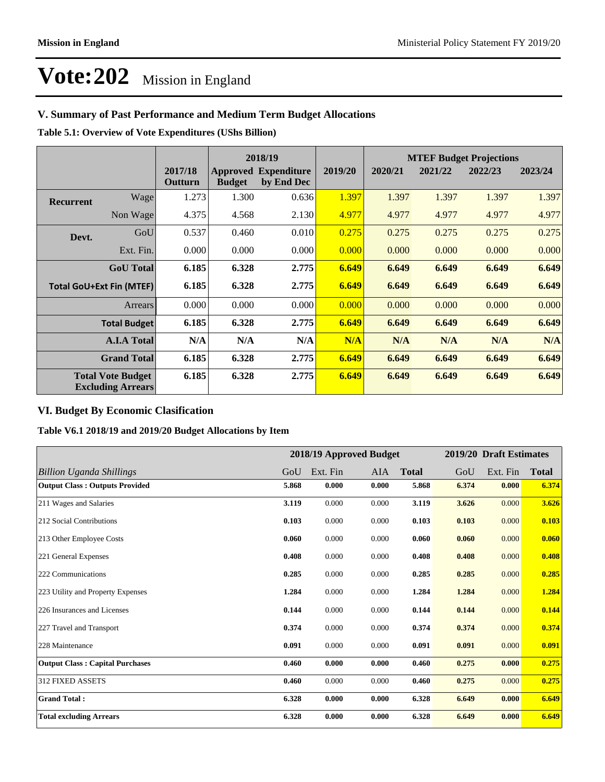### **V. Summary of Past Performance and Medium Term Budget Allocations**

**Table 5.1: Overview of Vote Expenditures (UShs Billion)**

|                                                      |                     |                    |               | 2018/19                                   |         | <b>MTEF Budget Projections</b> |         |         |         |
|------------------------------------------------------|---------------------|--------------------|---------------|-------------------------------------------|---------|--------------------------------|---------|---------|---------|
|                                                      |                     | 2017/18<br>Outturn | <b>Budget</b> | <b>Approved Expenditure</b><br>by End Dec | 2019/20 | 2020/21                        | 2021/22 | 2022/23 | 2023/24 |
| <b>Recurrent</b>                                     | Wage                | 1.273              | 1.300         | 0.636                                     | 1.397   | 1.397                          | 1.397   | 1.397   | 1.397   |
|                                                      | Non Wage            | 4.375              | 4.568         | 2.130                                     | 4.977   | 4.977                          | 4.977   | 4.977   | 4.977   |
| Devt.                                                | GoU                 | 0.537              | 0.460         | 0.010                                     | 0.275   | 0.275                          | 0.275   | 0.275   | 0.275   |
|                                                      | Ext. Fin.           | 0.000              | 0.000         | 0.000                                     | 0.000   | 0.000                          | 0.000   | 0.000   | 0.000   |
|                                                      | <b>GoU</b> Total    | 6.185              | 6.328         | 2.775                                     | 6.649   | 6.649                          | 6.649   | 6.649   | 6.649   |
| <b>Total GoU+Ext Fin (MTEF)</b>                      |                     | 6.185              | 6.328         | 2.775                                     | 6.649   | 6.649                          | 6.649   | 6.649   | 6.649   |
|                                                      | Arrears             | 0.000              | 0.000         | 0.000                                     | 0.000   | 0.000                          | 0.000   | 0.000   | 0.000   |
|                                                      | <b>Total Budget</b> | 6.185              | 6.328         | 2.775                                     | 6.649   | 6.649                          | 6.649   | 6.649   | 6.649   |
|                                                      | <b>A.I.A Total</b>  | N/A                | N/A           | N/A                                       | N/A     | N/A                            | N/A     | N/A     | N/A     |
|                                                      | <b>Grand Total</b>  | 6.185              | 6.328         | 2.775                                     | 6.649   | 6.649                          | 6.649   | 6.649   | 6.649   |
| <b>Total Vote Budget</b><br><b>Excluding Arrears</b> |                     | 6.185              | 6.328         | 2.775                                     | 6.649   | 6.649                          | 6.649   | 6.649   | 6.649   |

#### **VI. Budget By Economic Clasification**

**Table V6.1 2018/19 and 2019/20 Budget Allocations by Item**

|                                        |       | 2018/19 Approved Budget |       |              |       | 2019/20 Draft Estimates |              |
|----------------------------------------|-------|-------------------------|-------|--------------|-------|-------------------------|--------------|
| <b>Billion Uganda Shillings</b>        | GoU   | Ext. Fin                | AIA   | <b>Total</b> | GoU   | Ext. Fin                | <b>Total</b> |
| <b>Output Class: Outputs Provided</b>  | 5.868 | 0.000                   | 0.000 | 5.868        | 6.374 | 0.000                   | 6.374        |
| 211 Wages and Salaries                 | 3.119 | 0.000                   | 0.000 | 3.119        | 3.626 | 0.000                   | 3.626        |
| 212 Social Contributions               | 0.103 | 0.000                   | 0.000 | 0.103        | 0.103 | 0.000                   | 0.103        |
| 213 Other Employee Costs               | 0.060 | 0.000                   | 0.000 | 0.060        | 0.060 | 0.000                   | 0.060        |
| 221 General Expenses                   | 0.408 | 0.000                   | 0.000 | 0.408        | 0.408 | 0.000                   | 0.408        |
| 222 Communications                     | 0.285 | 0.000                   | 0.000 | 0.285        | 0.285 | 0.000                   | 0.285        |
| 223 Utility and Property Expenses      | 1.284 | 0.000                   | 0.000 | 1.284        | 1.284 | 0.000                   | 1.284        |
| 226 Insurances and Licenses            | 0.144 | 0.000                   | 0.000 | 0.144        | 0.144 | 0.000                   | 0.144        |
| 227 Travel and Transport               | 0.374 | 0.000                   | 0.000 | 0.374        | 0.374 | 0.000                   | 0.374        |
| 228 Maintenance                        | 0.091 | 0.000                   | 0.000 | 0.091        | 0.091 | 0.000                   | 0.091        |
| <b>Output Class: Capital Purchases</b> | 0.460 | 0.000                   | 0.000 | 0.460        | 0.275 | 0.000                   | 0.275        |
| <b>312 FIXED ASSETS</b>                | 0.460 | 0.000                   | 0.000 | 0.460        | 0.275 | 0.000                   | 0.275        |
| <b>Grand Total:</b>                    | 6.328 | 0.000                   | 0.000 | 6.328        | 6.649 | 0.000                   | 6.649        |
| <b>Total excluding Arrears</b>         | 6.328 | 0.000                   | 0.000 | 6.328        | 6.649 | 0.000                   | 6.649        |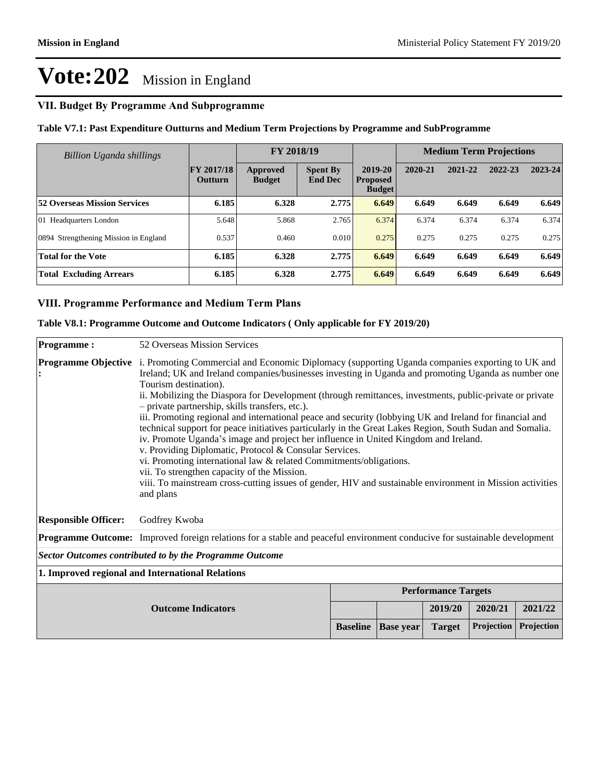## **VII. Budget By Programme And Subprogramme**

| Table V7.1: Past Expenditure Outturns and Medium Term Projections by Programme and SubProgramme |  |  |
|-------------------------------------------------------------------------------------------------|--|--|
|-------------------------------------------------------------------------------------------------|--|--|

| Billion Uganda shillings              |                                     | FY 2018/19                       |                                   |                                             |         | <b>Medium Term Projections</b> |         |         |
|---------------------------------------|-------------------------------------|----------------------------------|-----------------------------------|---------------------------------------------|---------|--------------------------------|---------|---------|
|                                       | <b>FY 2017/18</b><br><b>Outturn</b> | <b>Approved</b><br><b>Budget</b> | <b>Spent By</b><br><b>End Dec</b> | 2019-20<br><b>Proposed</b><br><b>Budget</b> | 2020-21 | 2021-22                        | 2022-23 | 2023-24 |
| 52 Overseas Mission Services          | 6.185                               | 6.328                            | 2.775                             | 6.649                                       | 6.649   | 6.649                          | 6.649   | 6.649   |
| 01 Headquarters London                | 5.648                               | 5.868                            | 2.765                             | 6.374                                       | 6.374   | 6.374                          | 6.374   | 6.374   |
| 0894 Strengthening Mission in England | 0.537                               | 0.460                            | 0.010                             | 0.275                                       | 0.275   | 0.275                          | 0.275   | 0.275   |
| <b>Total for the Vote</b>             | 6.185                               | 6.328                            | 2.775                             | 6.649                                       | 6.649   | 6.649                          | 6.649   | 6.649   |
| <b>Total Excluding Arrears</b>        | 6.185                               | 6.328                            | 2.775                             | 6.649                                       | 6.649   | 6.649                          | 6.649   | 6.649   |

## **VIII. Programme Performance and Medium Term Plans**

| Table V8.1: Programme Outcome and Outcome Indicators (Only applicable for FY 2019/20) |  |
|---------------------------------------------------------------------------------------|--|
|---------------------------------------------------------------------------------------|--|

| <b>Programme:</b>           | 52 Overseas Mission Services                                                                                                                                                                                                                                                                                                                                                                                                                                                                                                                                                                                                                                                                                                                                                                                                                                                                                                                                                                                          |                 |                  |                            |            |            |
|-----------------------------|-----------------------------------------------------------------------------------------------------------------------------------------------------------------------------------------------------------------------------------------------------------------------------------------------------------------------------------------------------------------------------------------------------------------------------------------------------------------------------------------------------------------------------------------------------------------------------------------------------------------------------------------------------------------------------------------------------------------------------------------------------------------------------------------------------------------------------------------------------------------------------------------------------------------------------------------------------------------------------------------------------------------------|-----------------|------------------|----------------------------|------------|------------|
| <b>Programme Objective</b>  | i. Promoting Commercial and Economic Diplomacy (supporting Uganda companies exporting to UK and<br>Ireland; UK and Ireland companies/businesses investing in Uganda and promoting Uganda as number one<br>Tourism destination).<br>ii. Mobilizing the Diaspora for Development (through remittances, investments, public-private or private<br>- private partnership, skills transfers, etc.).<br>iii. Promoting regional and international peace and security (lobbying UK and Ireland for financial and<br>technical support for peace initiatives particularly in the Great Lakes Region, South Sudan and Somalia.<br>iv. Promote Uganda's image and project her influence in United Kingdom and Ireland.<br>v. Providing Diplomatic, Protocol & Consular Services.<br>vi. Promoting international law & related Commitments/obligations.<br>vii. To strengthen capacity of the Mission.<br>viii. To mainstream cross-cutting issues of gender, HIV and sustainable environment in Mission activities<br>and plans |                 |                  |                            |            |            |
| <b>Responsible Officer:</b> | Godfrey Kwoba                                                                                                                                                                                                                                                                                                                                                                                                                                                                                                                                                                                                                                                                                                                                                                                                                                                                                                                                                                                                         |                 |                  |                            |            |            |
|                             | <b>Programme Outcome:</b> Improved foreign relations for a stable and peaceful environment conducive for sustainable development                                                                                                                                                                                                                                                                                                                                                                                                                                                                                                                                                                                                                                                                                                                                                                                                                                                                                      |                 |                  |                            |            |            |
|                             | Sector Outcomes contributed to by the Programme Outcome                                                                                                                                                                                                                                                                                                                                                                                                                                                                                                                                                                                                                                                                                                                                                                                                                                                                                                                                                               |                 |                  |                            |            |            |
|                             | 1. Improved regional and International Relations                                                                                                                                                                                                                                                                                                                                                                                                                                                                                                                                                                                                                                                                                                                                                                                                                                                                                                                                                                      |                 |                  |                            |            |            |
|                             |                                                                                                                                                                                                                                                                                                                                                                                                                                                                                                                                                                                                                                                                                                                                                                                                                                                                                                                                                                                                                       |                 |                  | <b>Performance Targets</b> |            |            |
|                             | <b>Outcome Indicators</b>                                                                                                                                                                                                                                                                                                                                                                                                                                                                                                                                                                                                                                                                                                                                                                                                                                                                                                                                                                                             |                 |                  | 2019/20                    | 2020/21    | 2021/22    |
|                             |                                                                                                                                                                                                                                                                                                                                                                                                                                                                                                                                                                                                                                                                                                                                                                                                                                                                                                                                                                                                                       | <b>Baseline</b> | <b>Base year</b> | <b>Target</b>              | Projection | Projection |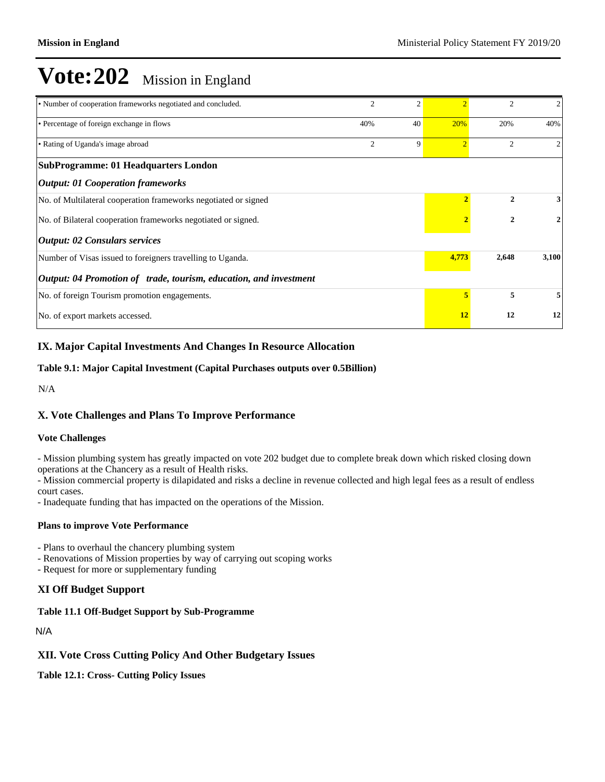| • Number of cooperation frameworks negotiated and concluded.      | $\overline{c}$ | $\mathcal{L}$ |                | $\mathfrak{D}$ | 2     |
|-------------------------------------------------------------------|----------------|---------------|----------------|----------------|-------|
| • Percentage of foreign exchange in flows                         | 40%            | 40            | 20%            | 20%            | 40%   |
| • Rating of Uganda's image abroad                                 | $\overline{c}$ | 9             | $\overline{2}$ | 2              | 2     |
| <b>SubProgramme: 01 Headquarters London</b>                       |                |               |                |                |       |
| <b>Output: 01 Cooperation frameworks</b>                          |                |               |                |                |       |
| No. of Multilateral cooperation frameworks negotiated or signed   |                |               |                | 2              | 3     |
| No. of Bilateral cooperation frameworks negotiated or signed.     |                |               | 2              | 2              |       |
| <b>Output: 02 Consulars services</b>                              |                |               |                |                |       |
| Number of Visas issued to foreigners travelling to Uganda.        |                |               | 4,773          | 2,648          | 3,100 |
| Output: 04 Promotion of trade, tourism, education, and investment |                |               |                |                |       |
| No. of foreign Tourism promotion engagements.                     |                |               | 5              | 5              | 5     |
| No. of export markets accessed.                                   |                | 12            | 12             | 12             |       |

#### **IX. Major Capital Investments And Changes In Resource Allocation**

#### **Table 9.1: Major Capital Investment (Capital Purchases outputs over 0.5Billion)**

N/A

#### **X. Vote Challenges and Plans To Improve Performance**

#### **Vote Challenges**

- Mission plumbing system has greatly impacted on vote 202 budget due to complete break down which risked closing down operations at the Chancery as a result of Health risks.

- Mission commercial property is dilapidated and risks a decline in revenue collected and high legal fees as a result of endless court cases.

- Inadequate funding that has impacted on the operations of the Mission.

#### **Plans to improve Vote Performance**

- Plans to overhaul the chancery plumbing system

- Renovations of Mission properties by way of carrying out scoping works
- Request for more or supplementary funding

#### **XI Off Budget Support**

#### **Table 11.1 Off-Budget Support by Sub-Programme**

N/A

#### **XII. Vote Cross Cutting Policy And Other Budgetary Issues**

**Table 12.1: Cross- Cutting Policy Issues**